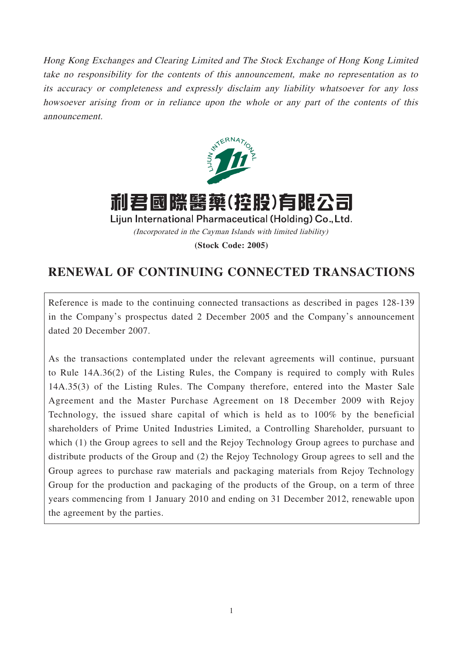Hong Kong Exchanges and Clearing Limited and The Stock Exchange of Hong Kong Limited take no responsibility for the contents of this announcement, make no representation as to its accuracy or completeness and expressly disclaim any liability whatsoever for any loss howsoever arising from or in reliance upon the whole or any part of the contents of this announcement.



利君國際醫藥(控股)有限 Lijun International Pharmaceutical (Holding) Co., Ltd. (Incorporated in the Cayman Islands with limited liability) **(Stock Code: 2005)**

# **RENEWAL OF CONTINUING CONNECTED TRANSACTIONS**

Reference is made to the continuing connected transactions as described in pages 128-139 in the Company's prospectus dated 2 December 2005 and the Company's announcement dated 20 December 2007.

As the transactions contemplated under the relevant agreements will continue, pursuant to Rule 14A.36(2) of the Listing Rules, the Company is required to comply with Rules 14A.35(3) of the Listing Rules. The Company therefore, entered into the Master Sale Agreement and the Master Purchase Agreement on 18 December 2009 with Rejoy Technology, the issued share capital of which is held as to 100% by the beneficial shareholders of Prime United Industries Limited, a Controlling Shareholder, pursuant to which (1) the Group agrees to sell and the Rejoy Technology Group agrees to purchase and distribute products of the Group and (2) the Rejoy Technology Group agrees to sell and the Group agrees to purchase raw materials and packaging materials from Rejoy Technology Group for the production and packaging of the products of the Group, on a term of three years commencing from 1 January 2010 and ending on 31 December 2012, renewable upon the agreement by the parties.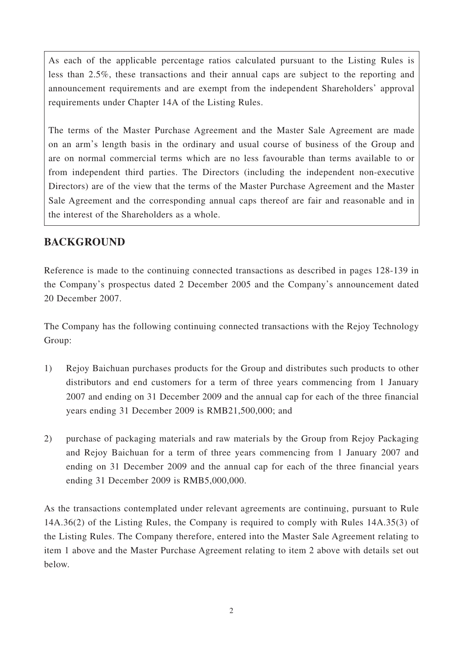As each of the applicable percentage ratios calculated pursuant to the Listing Rules is less than 2.5%, these transactions and their annual caps are subject to the reporting and announcement requirements and are exempt from the independent Shareholders' approval requirements under Chapter 14A of the Listing Rules.

The terms of the Master Purchase Agreement and the Master Sale Agreement are made on an arm's length basis in the ordinary and usual course of business of the Group and are on normal commercial terms which are no less favourable than terms available to or from independent third parties. The Directors (including the independent non-executive Directors) are of the view that the terms of the Master Purchase Agreement and the Master Sale Agreement and the corresponding annual caps thereof are fair and reasonable and in the interest of the Shareholders as a whole.

### **BACKGROUND**

Reference is made to the continuing connected transactions as described in pages 128-139 in the Company's prospectus dated 2 December 2005 and the Company's announcement dated 20 December 2007.

The Company has the following continuing connected transactions with the Rejoy Technology Group:

- 1) Rejoy Baichuan purchases products for the Group and distributes such products to other distributors and end customers for a term of three years commencing from 1 January 2007 and ending on 31 December 2009 and the annual cap for each of the three financial years ending 31 December 2009 is RMB21,500,000; and
- 2) purchase of packaging materials and raw materials by the Group from Rejoy Packaging and Rejoy Baichuan for a term of three years commencing from 1 January 2007 and ending on 31 December 2009 and the annual cap for each of the three financial years ending 31 December 2009 is RMB5,000,000.

As the transactions contemplated under relevant agreements are continuing, pursuant to Rule 14A.36(2) of the Listing Rules, the Company is required to comply with Rules 14A.35(3) of the Listing Rules. The Company therefore, entered into the Master Sale Agreement relating to item 1 above and the Master Purchase Agreement relating to item 2 above with details set out below.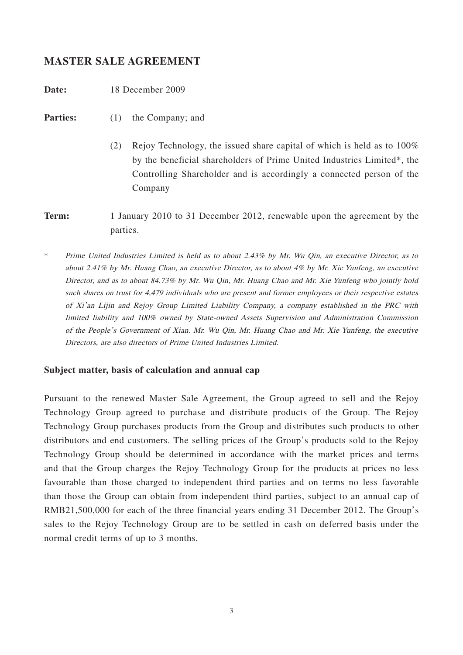#### **MASTER SALE AGREEMENT**

**Date:** 18 December 2009

- **Parties:** (1) the Company; and
	- (2) Rejoy Technology, the issued share capital of which is held as to 100% by the beneficial shareholders of Prime United Industries Limited\*, the Controlling Shareholder and is accordingly a connected person of the Company
- **Term:** 1 January 2010 to 31 December 2012, renewable upon the agreement by the parties.
- \* Prime United Industries Limited is held as to about 2.43% by Mr. Wu Qin, an executive Director, as to about 2.41% by Mr. Huang Chao, an executive Director, as to about 4% by Mr. Xie Yunfeng, an executive Director, and as to about 84.73% by Mr. Wu Qin, Mr. Huang Chao and Mr. Xie Yunfeng who jointly hold such shares on trust for 4,479 individuals who are present and former employees or their respective estates of Xi'an Lijin and Rejoy Group Limited Liability Company, a company established in the PRC with limited liability and 100% owned by State-owned Assets Supervision and Administration Commission of the People's Government of Xian. Mr. Wu Qin, Mr. Huang Chao and Mr. Xie Yunfeng, the executive Directors, are also directors of Prime United Industries Limited.

#### **Subject matter, basis of calculation and annual cap**

Pursuant to the renewed Master Sale Agreement, the Group agreed to sell and the Rejoy Technology Group agreed to purchase and distribute products of the Group. The Rejoy Technology Group purchases products from the Group and distributes such products to other distributors and end customers. The selling prices of the Group's products sold to the Rejoy Technology Group should be determined in accordance with the market prices and terms and that the Group charges the Rejoy Technology Group for the products at prices no less favourable than those charged to independent third parties and on terms no less favorable than those the Group can obtain from independent third parties, subject to an annual cap of RMB21,500,000 for each of the three financial years ending 31 December 2012. The Group's sales to the Rejoy Technology Group are to be settled in cash on deferred basis under the normal credit terms of up to 3 months.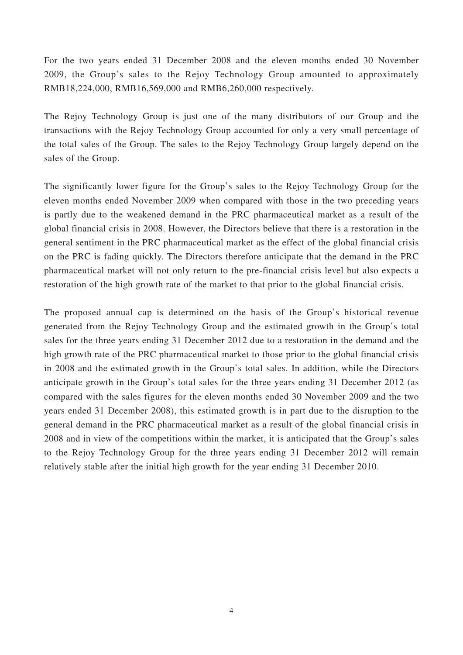For the two years ended 31 December 2008 and the eleven months ended 30 November 2009, the Group's sales to the Rejoy Technology Group amounted to approximately RMB18,224,000, RMB16,569,000 and RMB6,260,000 respectively.

The Rejoy Technology Group is just one of the many distributors of our Group and the transactions with the Rejoy Technology Group accounted for only a very small percentage of the total sales of the Group. The sales to the Rejoy Technology Group largely depend on the sales of the Group.

The significantly lower figure for the Group's sales to the Rejoy Technology Group for the eleven months ended November 2009 when compared with those in the two preceding years is partly due to the weakened demand in the PRC pharmaceutical market as a result of the global financial crisis in 2008. However, the Directors believe that there is a restoration in the general sentiment in the PRC pharmaceutical market as the effect of the global financial crisis on the PRC is fading quickly. The Directors therefore anticipate that the demand in the PRC pharmaceutical market will not only return to the pre-financial crisis level but also expects a restoration of the high growth rate of the market to that prior to the global financial crisis.

The proposed annual cap is determined on the basis of the Group's historical revenue generated from the Rejoy Technology Group and the estimated growth in the Group's total sales for the three years ending 31 December 2012 due to a restoration in the demand and the high growth rate of the PRC pharmaceutical market to those prior to the global financial crisis in 2008 and the estimated growth in the Group's total sales. In addition, while the Directors anticipate growth in the Group's total sales for the three years ending 31 December 2012 (as compared with the sales figures for the eleven months ended 30 November 2009 and the two years ended 31 December 2008), this estimated growth is in part due to the disruption to the general demand in the PRC pharmaceutical market as a result of the global financial crisis in 2008 and in view of the competitions within the market, it is anticipated that the Group's sales to the Rejoy Technology Group for the three years ending 31 December 2012 will remain relatively stable after the initial high growth for the year ending 31 December 2010.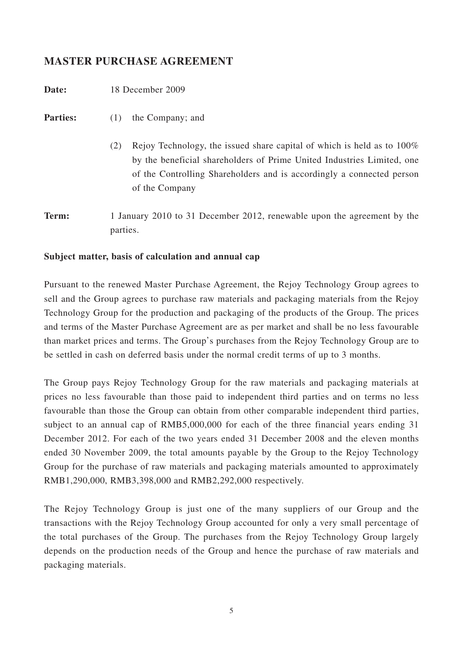### **MASTER PURCHASE AGREEMENT**

**Date:** 18 December 2009

**Parties:** (1) the Company; and

- (2) Rejoy Technology, the issued share capital of which is held as to 100% by the beneficial shareholders of Prime United Industries Limited, one of the Controlling Shareholders and is accordingly a connected person of the Company
- **Term:** 1 January 2010 to 31 December 2012, renewable upon the agreement by the parties.

#### **Subject matter, basis of calculation and annual cap**

Pursuant to the renewed Master Purchase Agreement, the Rejoy Technology Group agrees to sell and the Group agrees to purchase raw materials and packaging materials from the Rejoy Technology Group for the production and packaging of the products of the Group. The prices and terms of the Master Purchase Agreement are as per market and shall be no less favourable than market prices and terms. The Group's purchases from the Rejoy Technology Group are to be settled in cash on deferred basis under the normal credit terms of up to 3 months.

The Group pays Rejoy Technology Group for the raw materials and packaging materials at prices no less favourable than those paid to independent third parties and on terms no less favourable than those the Group can obtain from other comparable independent third parties, subject to an annual cap of RMB5,000,000 for each of the three financial years ending 31 December 2012. For each of the two years ended 31 December 2008 and the eleven months ended 30 November 2009, the total amounts payable by the Group to the Rejoy Technology Group for the purchase of raw materials and packaging materials amounted to approximately RMB1,290,000, RMB3,398,000 and RMB2,292,000 respectively.

The Rejoy Technology Group is just one of the many suppliers of our Group and the transactions with the Rejoy Technology Group accounted for only a very small percentage of the total purchases of the Group. The purchases from the Rejoy Technology Group largely depends on the production needs of the Group and hence the purchase of raw materials and packaging materials.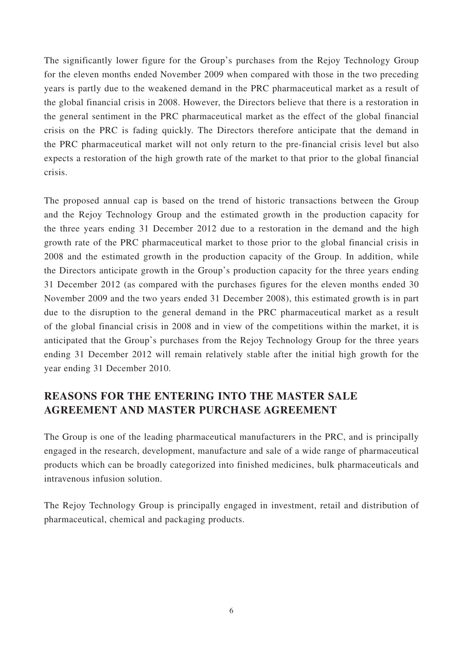The significantly lower figure for the Group's purchases from the Rejoy Technology Group for the eleven months ended November 2009 when compared with those in the two preceding years is partly due to the weakened demand in the PRC pharmaceutical market as a result of the global financial crisis in 2008. However, the Directors believe that there is a restoration in the general sentiment in the PRC pharmaceutical market as the effect of the global financial crisis on the PRC is fading quickly. The Directors therefore anticipate that the demand in the PRC pharmaceutical market will not only return to the pre-financial crisis level but also expects a restoration of the high growth rate of the market to that prior to the global financial crisis.

The proposed annual cap is based on the trend of historic transactions between the Group and the Rejoy Technology Group and the estimated growth in the production capacity for the three years ending 31 December 2012 due to a restoration in the demand and the high growth rate of the PRC pharmaceutical market to those prior to the global financial crisis in 2008 and the estimated growth in the production capacity of the Group. In addition, while the Directors anticipate growth in the Group's production capacity for the three years ending 31 December 2012 (as compared with the purchases figures for the eleven months ended 30 November 2009 and the two years ended 31 December 2008), this estimated growth is in part due to the disruption to the general demand in the PRC pharmaceutical market as a result of the global financial crisis in 2008 and in view of the competitions within the market, it is anticipated that the Group's purchases from the Rejoy Technology Group for the three years ending 31 December 2012 will remain relatively stable after the initial high growth for the year ending 31 December 2010.

## **REASONS FOR THE ENTERING INTO THE MASTER SALE AGREEMENT AND MASTER PURCHASE AGREEMENT**

The Group is one of the leading pharmaceutical manufacturers in the PRC, and is principally engaged in the research, development, manufacture and sale of a wide range of pharmaceutical products which can be broadly categorized into finished medicines, bulk pharmaceuticals and intravenous infusion solution.

The Rejoy Technology Group is principally engaged in investment, retail and distribution of pharmaceutical, chemical and packaging products.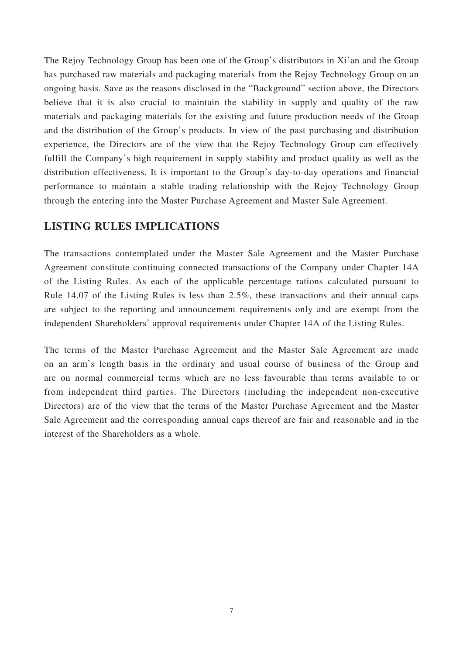The Rejoy Technology Group has been one of the Group's distributors in Xi'an and the Group has purchased raw materials and packaging materials from the Rejoy Technology Group on an ongoing basis. Save as the reasons disclosed in the "Background" section above, the Directors believe that it is also crucial to maintain the stability in supply and quality of the raw materials and packaging materials for the existing and future production needs of the Group and the distribution of the Group's products. In view of the past purchasing and distribution experience, the Directors are of the view that the Rejoy Technology Group can effectively fulfill the Company's high requirement in supply stability and product quality as well as the distribution effectiveness. It is important to the Group's day-to-day operations and financial performance to maintain a stable trading relationship with the Rejoy Technology Group through the entering into the Master Purchase Agreement and Master Sale Agreement.

#### **LISTING RULES IMPLICATIONS**

The transactions contemplated under the Master Sale Agreement and the Master Purchase Agreement constitute continuing connected transactions of the Company under Chapter 14A of the Listing Rules. As each of the applicable percentage rations calculated pursuant to Rule 14.07 of the Listing Rules is less than 2.5%, these transactions and their annual caps are subject to the reporting and announcement requirements only and are exempt from the independent Shareholders' approval requirements under Chapter 14A of the Listing Rules.

The terms of the Master Purchase Agreement and the Master Sale Agreement are made on an arm's length basis in the ordinary and usual course of business of the Group and are on normal commercial terms which are no less favourable than terms available to or from independent third parties. The Directors (including the independent non-executive Directors) are of the view that the terms of the Master Purchase Agreement and the Master Sale Agreement and the corresponding annual caps thereof are fair and reasonable and in the interest of the Shareholders as a whole.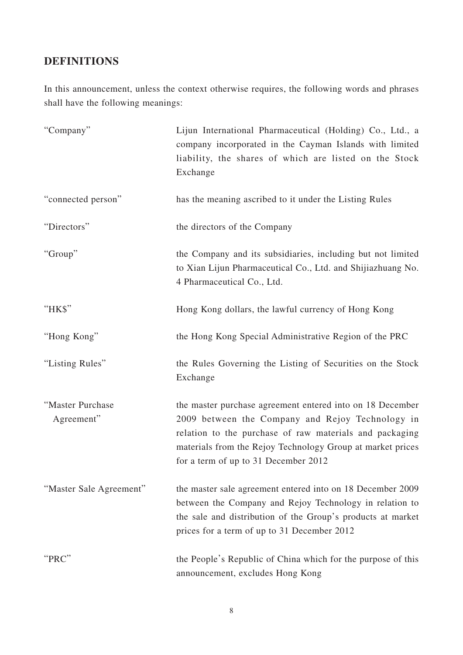# **DEFINITIONS**

In this announcement, unless the context otherwise requires, the following words and phrases shall have the following meanings:

| "Company"                      | Lijun International Pharmaceutical (Holding) Co., Ltd., a<br>company incorporated in the Cayman Islands with limited<br>liability, the shares of which are listed on the Stock<br>Exchange                                                                                     |
|--------------------------------|--------------------------------------------------------------------------------------------------------------------------------------------------------------------------------------------------------------------------------------------------------------------------------|
| "connected person"             | has the meaning ascribed to it under the Listing Rules                                                                                                                                                                                                                         |
| "Directors"                    | the directors of the Company                                                                                                                                                                                                                                                   |
| "Group"                        | the Company and its subsidiaries, including but not limited<br>to Xian Lijun Pharmaceutical Co., Ltd. and Shijiazhuang No.<br>4 Pharmaceutical Co., Ltd.                                                                                                                       |
| "HK\$"                         | Hong Kong dollars, the lawful currency of Hong Kong                                                                                                                                                                                                                            |
| "Hong Kong"                    | the Hong Kong Special Administrative Region of the PRC                                                                                                                                                                                                                         |
| "Listing Rules"                | the Rules Governing the Listing of Securities on the Stock<br>Exchange                                                                                                                                                                                                         |
| "Master Purchase<br>Agreement" | the master purchase agreement entered into on 18 December<br>2009 between the Company and Rejoy Technology in<br>relation to the purchase of raw materials and packaging<br>materials from the Rejoy Technology Group at market prices<br>for a term of up to 31 December 2012 |
| "Master Sale Agreement"        | the master sale agreement entered into on 18 December 2009<br>between the Company and Rejoy Technology in relation to<br>the sale and distribution of the Group's products at market<br>prices for a term of up to 31 December 2012                                            |
| "PRC"                          | the People's Republic of China which for the purpose of this<br>announcement, excludes Hong Kong                                                                                                                                                                               |